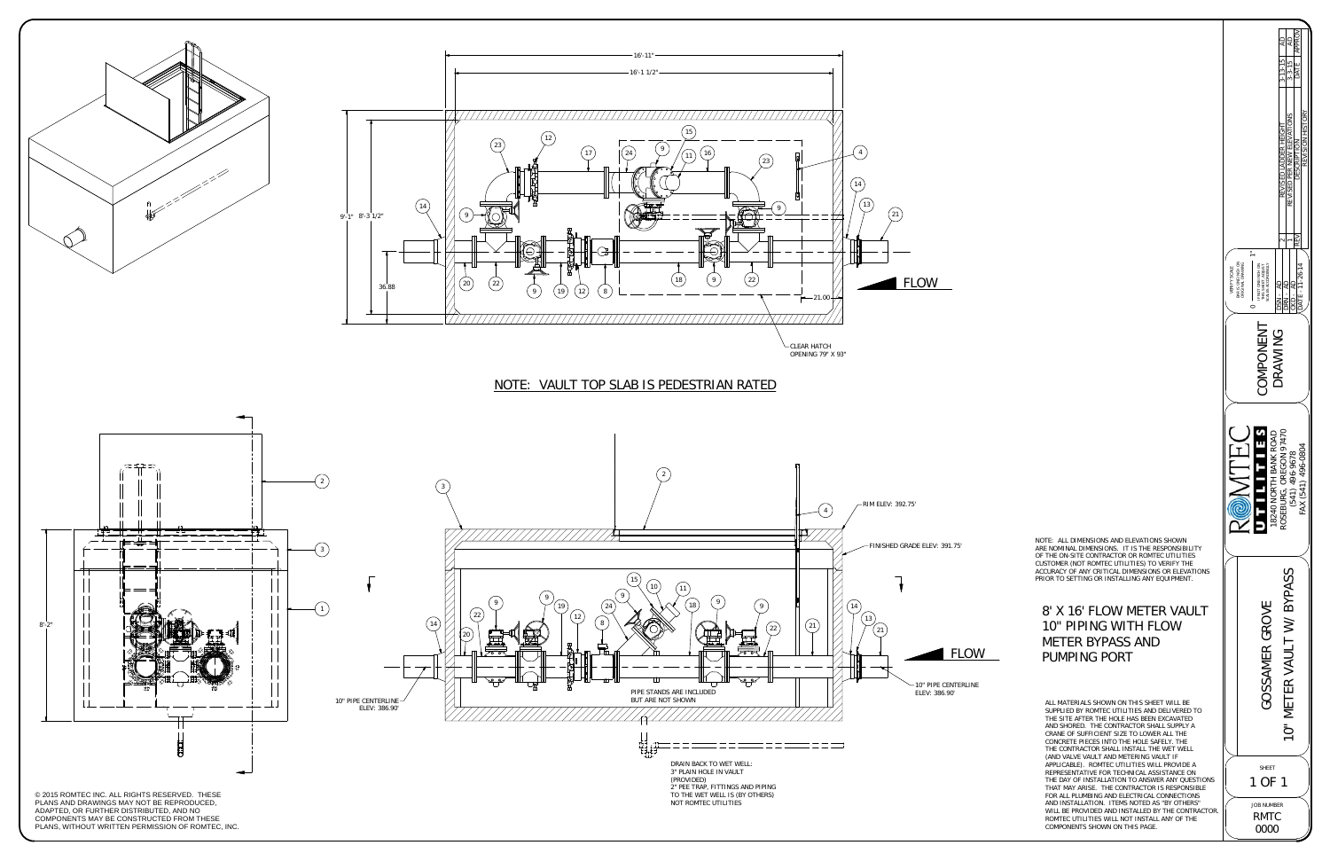

NOTE: ALL DIMENSIONS AND ELEVATIONS SHOWN ARE NOMINAL DIMENSIONS. IT IS THE RESPONSIBILITY OF THE ON-SITE CONTRACTOR OR ROMTEC UTILITIES<br>CUSTOMER (NOT ROMTEC UTILITIES) TO VERIFY THE<br>ACCURACY OF ANY CRITICAL DIMENSIONS OR ELEVATIONS PRIOR TO SETTING OR INSTALLING ANY EQUIPMENT.



ALL MATERIALS SHOWN ON THIS SHEET WILL BE SUPPLIED BY ROMTEC UTILITIES AND DELIVERED TO THE SITE AFTER THE HOLE HAS BEEN EXCAVATED AND SHORED. THE CONTRACTOR SHALL SUPPLY ACRANE OF SUFFICIENT SIZE TO LOWER ALL THE CONCRETE PIECES INTO THE HOLE SAFELY. THE THE CONTRACTOR SHALL INSTALL THE WET WELL (AND VALVE VAULT AND METERING VAULT IF APPLICABLE). ROMTEC UTILITIES WILL PROVIDE A REPRESENTATIVE FOR TECHNICAL ASSISTANCE ON THE DAY OF INSTALLATION TO ANSWER ANY QUESTIONS THAT MAY ARISE. THE CONTRACTOR IS RESPONSIBLE FOR ALL PLUMBING AND ELECTRICAL CONNECTIONS AND INSTALLATION. ITEMS NOTED AS "BY OTHERS" WILL BE PROVIDED AND INSTALLED BY THE CONTRACTOR. ROMTEC UTILITIES WILL NOT INSTALL ANY OF THE COMPONENTS SHOWN ON THIS PAGE.



## NOTE: VAULT TOP SLAB IS PEDESTRIAN RATED

## 8' X 16' FLOW METER VAULT 10" PIPING WITH FLOW METER BYPASS AND PUMPING PORT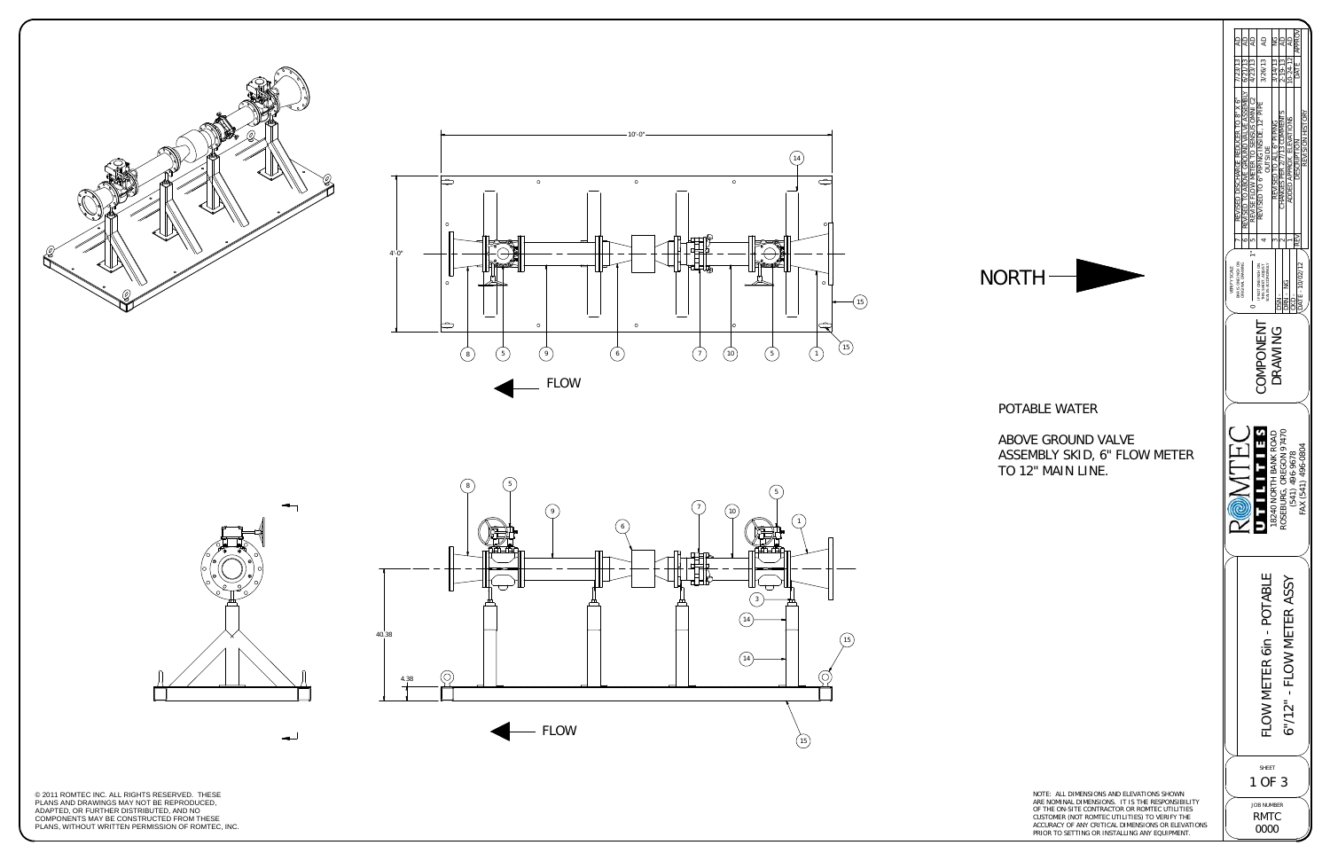© 2011 ROMTEC INC. ALL RIGHTS RESERVED. THESE PLANS AND DRAWINGS MAY NOT BE REPRODUCED, ADAPTED, OR FURTHER DISTRIBUTED, AND NO<br>COMPONENTS MAY BE CONSTRUCTED FROM THESE<br>PLANS, WITHOUT WRITTEN PERMISSION OF ROMTEC, INC.





NOTE: ALL DIMENSIONS AND ELEVATIONS SHOWN ARE NOMINAL DIMENSIONS. IT IS THE RESPONSIBILITY OF THE ON-SITE CONTRACTOR OR ROMTEC UTILITIES CUSTOMER (NOT ROMTEC UTILITIES) TO VERIFY THE ACCURACY OF ANY CRITICAL DIMENSIONS OR ELEVATIONS PRIOR TO SETTING OR INSTALLING ANY EQUIPMENT.









## POTABLE WATER

## ABOVE GROUND VALVE ASSEMBLY SKID, 6" FLOW METER TO 12" MAIN LINE.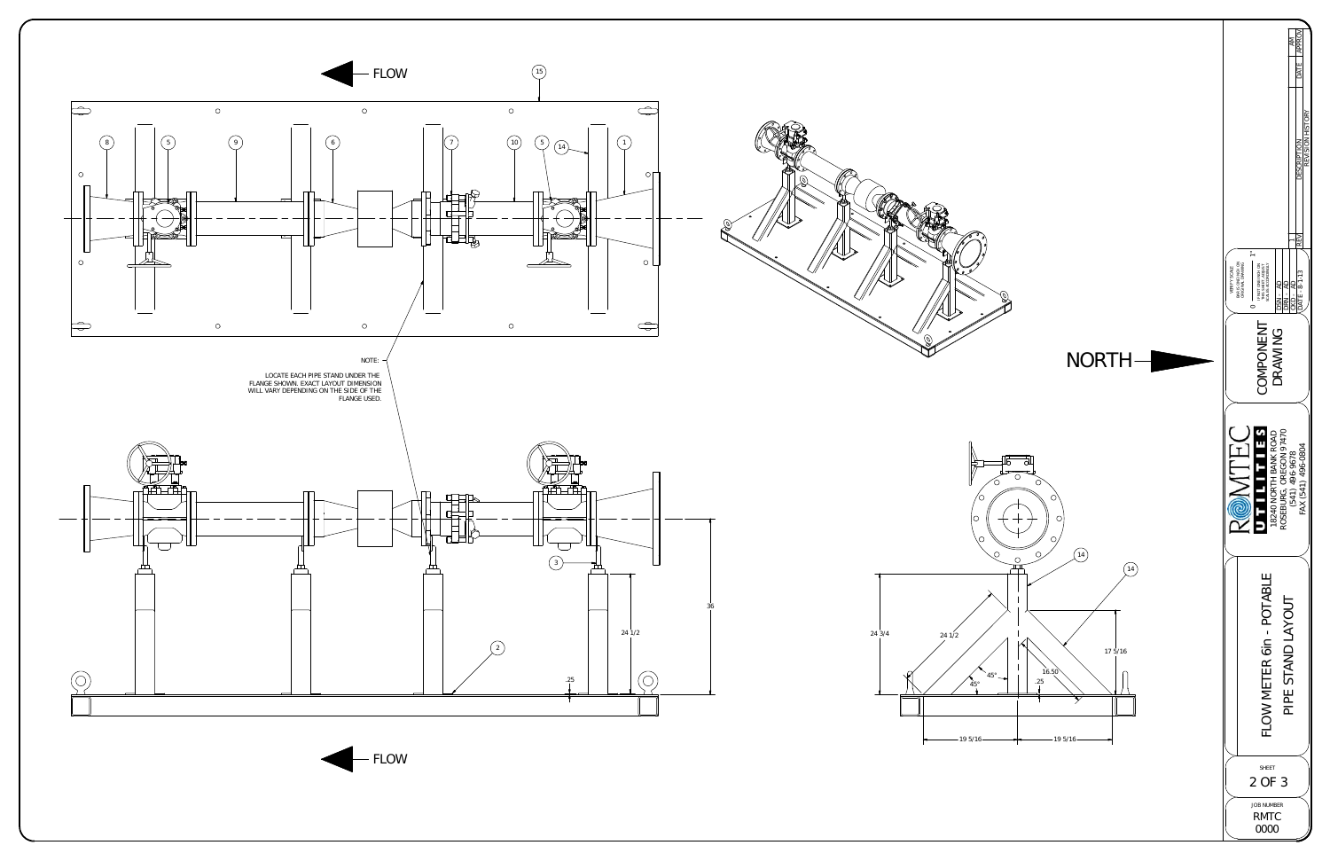